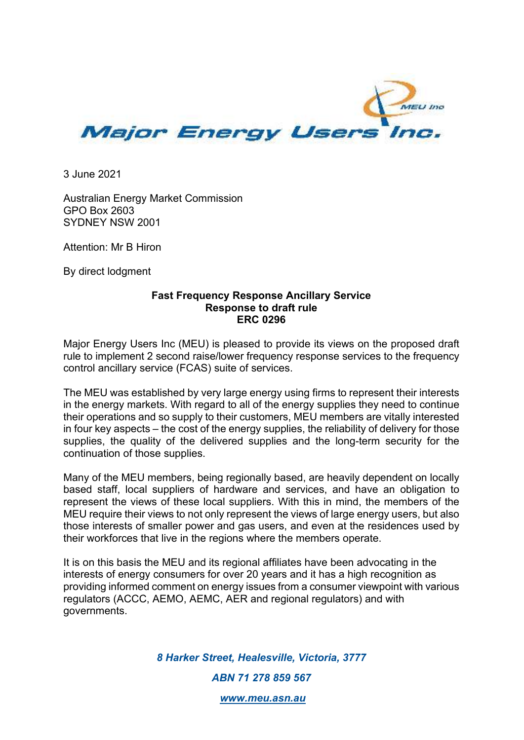

3 June 2021

Australian Energy Market Commission GPO Box 2603 SYDNEY NSW 2001

Attention: Mr B Hiron

By direct lodgment

## **Fast Frequency Response Ancillary Service Response to draft rule ERC 0296**

Major Energy Users Inc (MEU) is pleased to provide its views on the proposed draft rule to implement 2 second raise/lower frequency response services to the frequency control ancillary service (FCAS) suite of services.

The MEU was established by very large energy using firms to represent their interests in the energy markets. With regard to all of the energy supplies they need to continue their operations and so supply to their customers, MEU members are vitally interested in four key aspects – the cost of the energy supplies, the reliability of delivery for those supplies, the quality of the delivered supplies and the long-term security for the continuation of those supplies.

Many of the MEU members, being regionally based, are heavily dependent on locally based staff, local suppliers of hardware and services, and have an obligation to represent the views of these local suppliers. With this in mind, the members of the MEU require their views to not only represent the views of large energy users, but also those interests of smaller power and gas users, and even at the residences used by their workforces that live in the regions where the members operate.

It is on this basis the MEU and its regional affiliates have been advocating in the interests of energy consumers for over 20 years and it has a high recognition as providing informed comment on energy issues from a consumer viewpoint with various regulators (ACCC, AEMO, AEMC, AER and regional regulators) and with governments.

> *8 Harker Street, Healesville, Victoria, 3777 ABN 71 278 859 567*

> > *www.meu.asn.au*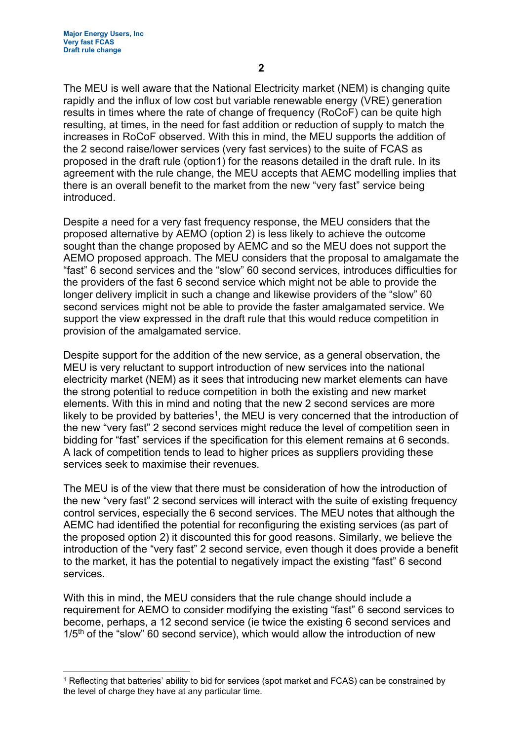The MEU is well aware that the National Electricity market (NEM) is changing quite rapidly and the influx of low cost but variable renewable energy (VRE) generation results in times where the rate of change of frequency (RoCoF) can be quite high resulting, at times, in the need for fast addition or reduction of supply to match the increases in RoCoF observed. With this in mind, the MEU supports the addition of the 2 second raise/lower services (very fast services) to the suite of FCAS as proposed in the draft rule (option1) for the reasons detailed in the draft rule. In its agreement with the rule change, the MEU accepts that AEMC modelling implies that there is an overall benefit to the market from the new "very fast" service being introduced.

Despite a need for a very fast frequency response, the MEU considers that the proposed alternative by AEMO (option 2) is less likely to achieve the outcome sought than the change proposed by AEMC and so the MEU does not support the AEMO proposed approach. The MEU considers that the proposal to amalgamate the "fast" 6 second services and the "slow" 60 second services, introduces difficulties for the providers of the fast 6 second service which might not be able to provide the longer delivery implicit in such a change and likewise providers of the "slow" 60 second services might not be able to provide the faster amalgamated service. We support the view expressed in the draft rule that this would reduce competition in provision of the amalgamated service.

Despite support for the addition of the new service, as a general observation, the MEU is very reluctant to support introduction of new services into the national electricity market (NEM) as it sees that introducing new market elements can have the strong potential to reduce competition in both the existing and new market elements. With this in mind and noting that the new 2 second services are more likely to be provided by batteries<sup>1</sup>, the MEU is very concerned that the introduction of the new "very fast" 2 second services might reduce the level of competition seen in bidding for "fast" services if the specification for this element remains at 6 seconds. A lack of competition tends to lead to higher prices as suppliers providing these services seek to maximise their revenues.

The MEU is of the view that there must be consideration of how the introduction of the new "very fast" 2 second services will interact with the suite of existing frequency control services, especially the 6 second services. The MEU notes that although the AEMC had identified the potential for reconfiguring the existing services (as part of the proposed option 2) it discounted this for good reasons. Similarly, we believe the introduction of the "very fast" 2 second service, even though it does provide a benefit to the market, it has the potential to negatively impact the existing "fast" 6 second services.

With this in mind, the MEU considers that the rule change should include a requirement for AEMO to consider modifying the existing "fast" 6 second services to become, perhaps, a 12 second service (ie twice the existing 6 second services and  $1/5<sup>th</sup>$  of the "slow" 60 second service), which would allow the introduction of new

<sup>1</sup> Reflecting that batteries' ability to bid for services (spot market and FCAS) can be constrained by the level of charge they have at any particular time.